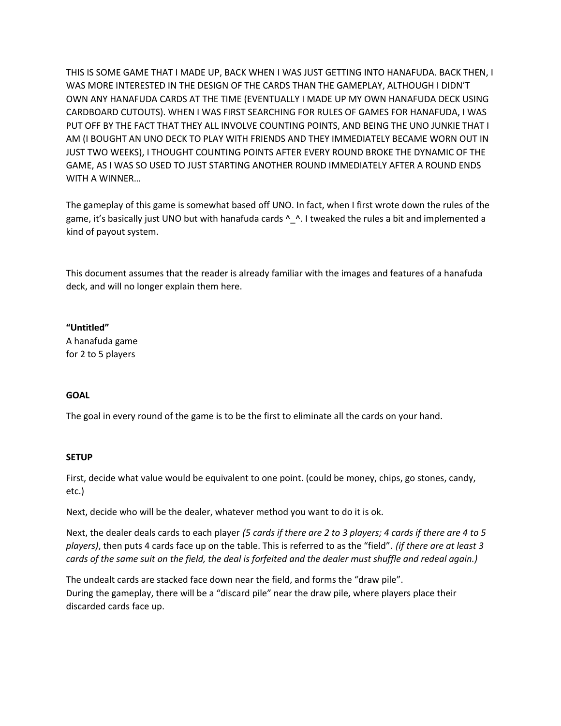THIS IS SOME GAME THAT I MADE UP, BACK WHEN I WAS JUST GETTING INTO HANAFUDA. BACK THEN, I WAS MORE INTERESTED IN THE DESIGN OF THE CARDS THAN THE GAMEPLAY, ALTHOUGH I DIDN'T OWN ANY HANAFUDA CARDS AT THE TIME (EVENTUALLY I MADE UP MY OWN HANAFUDA DECK USING CARDBOARD CUTOUTS). WHEN I WAS FIRST SEARCHING FOR RULES OF GAMES FOR HANAFUDA, I WAS PUT OFF BY THE FACT THAT THEY ALL INVOLVE COUNTING POINTS, AND BEING THE UNO JUNKIE THAT I AM (I BOUGHT AN UNO DECK TO PLAY WITH FRIENDS AND THEY IMMEDIATELY BECAME WORN OUT IN JUST TWO WEEKS), I THOUGHT COUNTING POINTS AFTER EVERY ROUND BROKE THE DYNAMIC OF THE GAME, AS I WAS SO USED TO JUST STARTING ANOTHER ROUND IMMEDIATELY AFTER A ROUND ENDS WITH A WINNER…

The gameplay of this game is somewhat based off UNO. In fact, when I first wrote down the rules of the game, it's basically just UNO but with hanafuda cards  $\Lambda_{\perp}$ . I tweaked the rules a bit and implemented a kind of payout system.

This document assumes that the reader is already familiar with the images and features of a hanafuda deck, and will no longer explain them here.

# **"Untitled"**

A hanafuda game for 2 to 5 players

# **GOAL**

The goal in every round of the game is to be the first to eliminate all the cards on your hand.

# **SETUP**

First, decide what value would be equivalent to one point. (could be money, chips, go stones, candy, etc.)

Next, decide who will be the dealer, whatever method you want to do it is ok.

Next, the dealer deals cards to each player *(5 cards if there are 2 to 3 players; 4 cards if there are 4 to 5 players)*, then puts 4 cards face up on the table. This is referred to as the "field". *(if there are at least 3 cards of the same suit on the field, the deal is forfeited and the dealer must shuffle and redeal again.)*

The undealt cards are stacked face down near the field, and forms the "draw pile". During the gameplay, there will be a "discard pile" near the draw pile, where players place their discarded cards face up.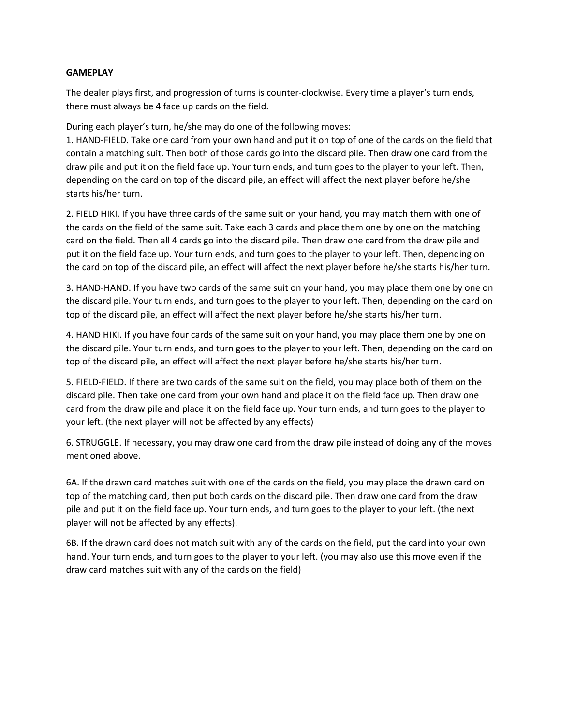# **GAMEPLAY**

The dealer plays first, and progression of turns is counter-clockwise. Every time a player's turn ends, there must always be 4 face up cards on the field.

During each player's turn, he/she may do one of the following moves:

1. HAND-FIELD. Take one card from your own hand and put it on top of one of the cards on the field that contain a matching suit. Then both of those cards go into the discard pile. Then draw one card from the draw pile and put it on the field face up. Your turn ends, and turn goes to the player to your left. Then, depending on the card on top of the discard pile, an effect will affect the next player before he/she starts his/her turn.

2. FIELD HIKI. If you have three cards of the same suit on your hand, you may match them with one of the cards on the field of the same suit. Take each 3 cards and place them one by one on the matching card on the field. Then all 4 cards go into the discard pile. Then draw one card from the draw pile and put it on the field face up. Your turn ends, and turn goes to the player to your left. Then, depending on the card on top of the discard pile, an effect will affect the next player before he/she starts his/her turn.

3. HAND-HAND. If you have two cards of the same suit on your hand, you may place them one by one on the discard pile. Your turn ends, and turn goes to the player to your left. Then, depending on the card on top of the discard pile, an effect will affect the next player before he/she starts his/her turn.

4. HAND HIKI. If you have four cards of the same suit on your hand, you may place them one by one on the discard pile. Your turn ends, and turn goes to the player to your left. Then, depending on the card on top of the discard pile, an effect will affect the next player before he/she starts his/her turn.

5. FIELD-FIELD. If there are two cards of the same suit on the field, you may place both of them on the discard pile. Then take one card from your own hand and place it on the field face up. Then draw one card from the draw pile and place it on the field face up. Your turn ends, and turn goes to the player to your left. (the next player will not be affected by any effects)

6. STRUGGLE. If necessary, you may draw one card from the draw pile instead of doing any of the moves mentioned above.

6A. If the drawn card matches suit with one of the cards on the field, you may place the drawn card on top of the matching card, then put both cards on the discard pile. Then draw one card from the draw pile and put it on the field face up. Your turn ends, and turn goes to the player to your left. (the next player will not be affected by any effects).

6B. If the drawn card does not match suit with any of the cards on the field, put the card into your own hand. Your turn ends, and turn goes to the player to your left. (you may also use this move even if the draw card matches suit with any of the cards on the field)